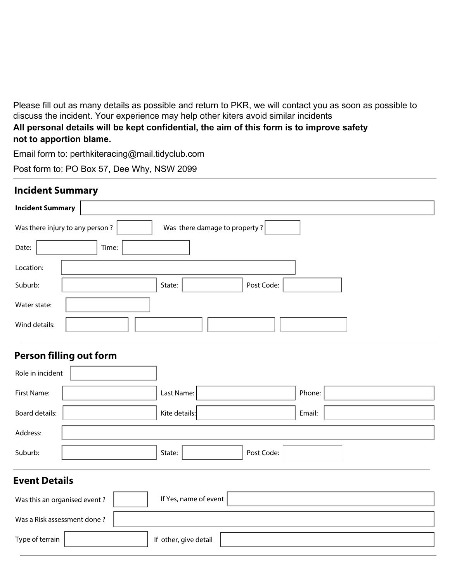Please fill out as many details as possible and return to PKR, we will contact you as soon as possible to discuss the incident. Your experience may help other kiters avoid similar incidents

**All personal details will be kept confidential, the aim of this form is to improve safety not to apportion blame.**

Email form to: perthkiteracing@mail.tidyclub.com

Post form to: PO Box 57, Dee Why, NSW 2099

## **Incident Summary**

| <b>Incident Summary</b> |                                                                                                   |
|-------------------------|---------------------------------------------------------------------------------------------------|
|                         | Was there damage to property?<br>Was there injury to any person?                                  |
| Date:                   | Time:                                                                                             |
| Location:               |                                                                                                   |
| Suburb:                 | Post Code:<br>State:<br>$\blacktriangledown$                                                      |
| Water state:            |                                                                                                   |
| Wind details:           | $\blacktriangledown$<br>$\vert \bm{\nabla} \vert$<br>$\blacktriangledown$<br>$\blacktriangledown$ |

## **Person filling out form**

| Role in incident<br>▼        |                                              |        |
|------------------------------|----------------------------------------------|--------|
| First Name:                  | Last Name:                                   | Phone: |
| <b>Board details:</b>        | Kite details:                                | Email: |
| Address:                     |                                              |        |
| Suburb:                      | Post Code:<br>State:<br>$\blacktriangledown$ |        |
| <b>Event Details</b>         |                                              |        |
| Was this an organised event? | If Yes, name of event                        |        |
| Was a Risk assessment done?  |                                              |        |

| -<br>. |  | 1117<br>аетан |  |
|--------|--|---------------|--|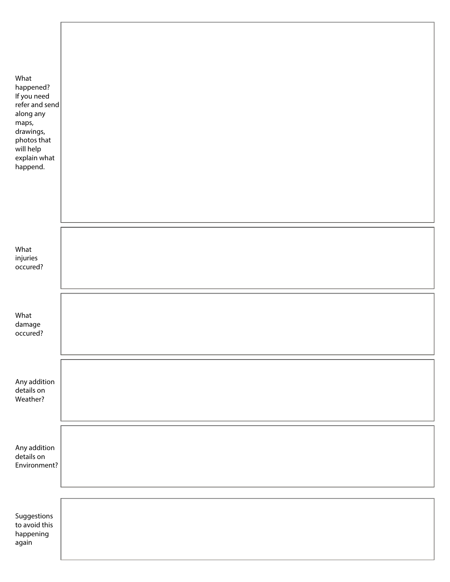| What<br>happened?<br>If you need<br>refer and send<br>along any<br>maps,<br>drawings,<br>photos that<br>will help<br>explain what<br>happend. |  |
|-----------------------------------------------------------------------------------------------------------------------------------------------|--|
| What<br>injuries<br>occured?                                                                                                                  |  |
| What<br>damage<br>occured?                                                                                                                    |  |
| Any addition<br>details on<br>Weather?                                                                                                        |  |
| Any addition<br>details on<br>Environment?                                                                                                    |  |
| Suggestions<br>to avoid this<br>happening<br>again                                                                                            |  |